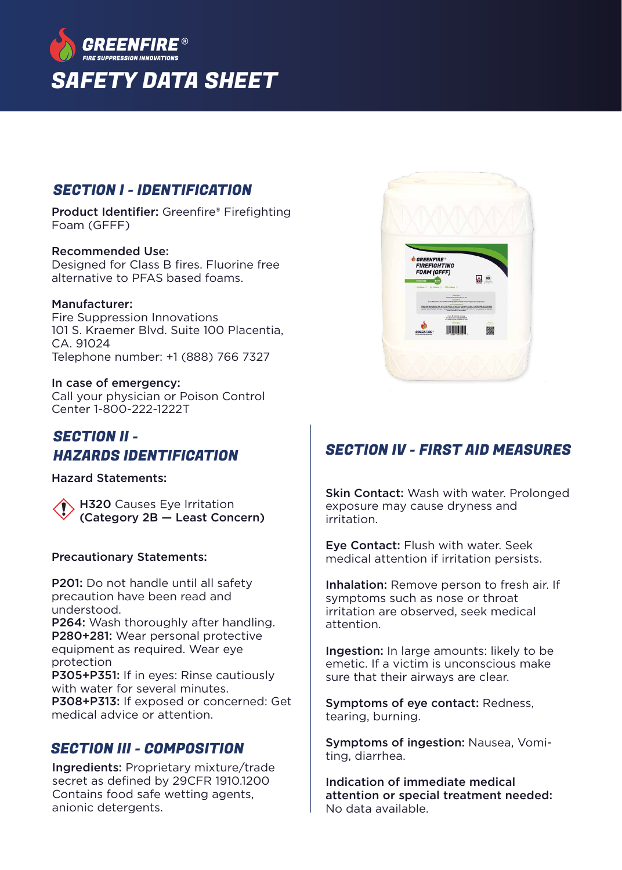

### SECTION I - IDENTIFICATION

Product Identifier: Greenfire® Firefighting Foam (GFFF)

#### Recommended Use:

Designed for Class B fires. Fluorine free alternative to PFAS based foams.

#### Manufacturer:

Fire Suppression Innovations 101 S. Kraemer Blvd. Suite 100 Placentia,  $C\Delta$  91024 Telephone number: +1 (888) 766 7327

#### In case of emergency: Call your physician or Poison Control

Center 1-800-222-1222T

### SECTION II - HAZARDS IDENTIFICATION

Hazard Statements:

**H320** Causes Eye Irritation (Category 2B — Least Concern)

#### Precautionary Statements:

P201: Do not handle until all safety precaution have been read and understood.

P264: Wash thoroughly after handling. P280+281: Wear personal protective equipment as required. Wear eye protection

P305+P351: If in eyes: Rinse cautiously with water for several minutes.

P308+P313: If exposed or concerned: Get medical advice or attention.

## SECTION III - COMPOSITION

Ingredients: Proprietary mixture/trade secret as defined by 29CFR 1910.1200 Contains food safe wetting agents, anionic detergents.



## SECTION IV - FIRST AID MEASURES

**Skin Contact:** Wash with water. Prolonged exposure may cause dryness and irritation.

Eye Contact: Flush with water. Seek medical attention if irritation persists.

Inhalation: Remove person to fresh air. If symptoms such as nose or throat irritation are observed, seek medical attention.

Ingestion: In large amounts: likely to be emetic. If a victim is unconscious make sure that their airways are clear.

Symptoms of eye contact: Redness, tearing, burning.

Symptoms of ingestion: Nausea, Vomiting, diarrhea.

Indication of immediate medical attention or special treatment needed: No data available.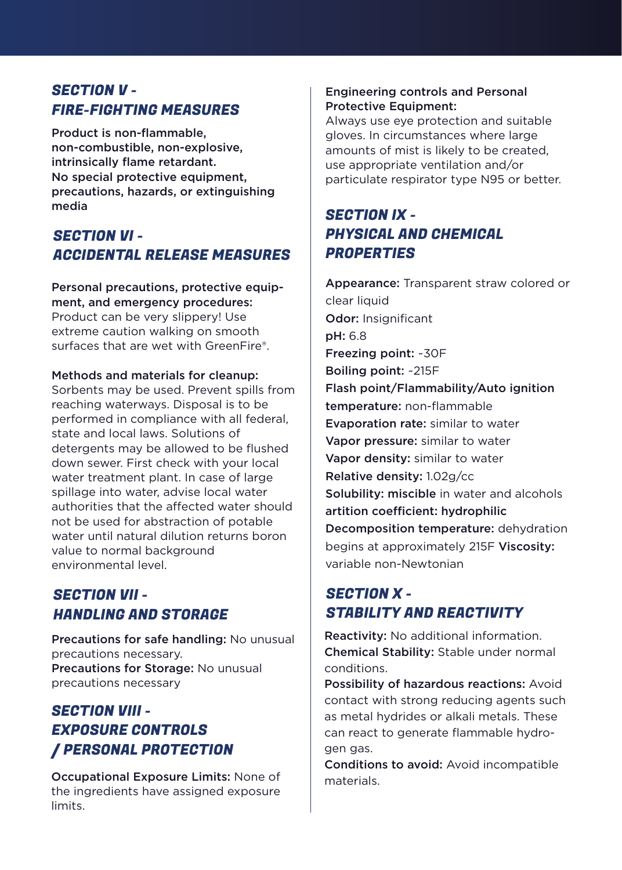## SECTION V - FIRE-FIGHTING MEASURES

Product is non-flammable, non-combustible, non-explosive, intrinsically flame retardant. No special protective equipment, precautions, hazards, or extinguishing media

## SECTION VI - ACCIDENTAL RELEASE MEASURES

Personal precautions, protective equipment, and emergency procedures: Product can be very slippery! Use extreme caution walking on smooth surfaces that are wet with GreenFire®.

#### Methods and materials for cleanup:

Sorbents may be used. Prevent spills from reaching waterways. Disposal is to be performed in compliance with all federal, state and local laws. Solutions of detergents may be allowed to be flushed down sewer. First check with your local water treatment plant. In case of large spillage into water, advise local water authorities that the affected water should not be used for abstraction of potable water until natural dilution returns boron value to normal background environmental level.

## SECTION VII - HANDLING AND STORAGE

Precautions for safe handling: No unusual precautions necessary. Precautions for Storage: No unusual precautions necessary

## SECTION VIII - EXPOSURE CONTROLS / PERSONAL PROTECTION

Occupational Exposure Limits: None of the ingredients have assigned exposure limits.

### Engineering controls and Personal Protective Equipment:

Always use eye protection and suitable gloves. In circumstances where large amounts of mist is likely to be created, use appropriate ventilation and/or particulate respirator type N95 or better.

## SECTION IX - PHYSICAL AND CHEMICAL **PROPERTIES**

Appearance: Transparent straw colored or clear liquid Odor: Insignificant pH: 6.8 Freezing point: ~30F Boiling point: ~215F Flash point/Flammability/Auto ignition temperature: non-flammable Evaporation rate: similar to water Vapor pressure: similar to water Vapor density: similar to water Relative density: 1.02g/cc Solubility: miscible in water and alcohols artition coefficient: hydrophilic Decomposition temperature: dehydration begins at approximately 215F Viscosity: variable non-Newtonian

# SECTION X - STABILITY AND REACTIVITY

Reactivity: No additional information. Chemical Stability: Stable under normal conditions.

Possibility of hazardous reactions: Avoid contact with strong reducing agents such as metal hydrides or alkali metals. These can react to generate flammable hydrogen gas.

Conditions to avoid: Avoid incompatible materials.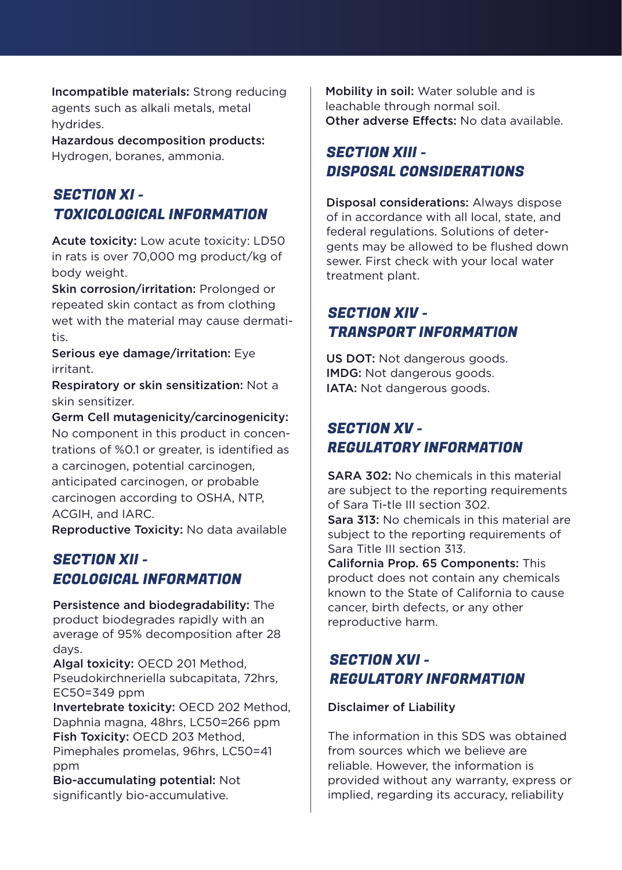Incompatible materials: Strong reducing agents such as alkali metals, metal hydrides.

Hazardous decomposition products: Hydrogen, boranes, ammonia.

## SECTION XI - TOXICOLOGICAL INFORMATION

Acute toxicity: Low acute toxicity: LD50 in rats is over 70,000 mg product/kg of body weight.

Skin corrosion/irritation: Prolonged or repeated skin contact as from clothing wet with the material may cause dermatitis.

Serious eye damage/irritation: Eye irritant.

Respiratory or skin sensitization: Not a skin sensitizer.

Germ Cell mutagenicity/carcinogenicity: No component in this product in concentrations of %0.1 or greater, is identified as a carcinogen, potential carcinogen, anticipated carcinogen, or probable carcinogen according to OSHA, NTP, ACGIH, and IARC.

Reproductive Toxicity: No data available

## SECTION XII - ECOLOGICAL INFORMATION

Persistence and biodegradability: The product biodegrades rapidly with an average of 95% decomposition after 28 days.

Algal toxicity: OECD 201 Method, Pseudokirchneriella subcapitata, 72hrs, EC50=349 ppm

Invertebrate toxicity: OECD 202 Method, Daphnia magna, 48hrs, LC50=266 ppm Fish Toxicity: OECD 203 Method, Pimephales promelas, 96hrs, LC50=41 ppm

Bio-accumulating potential: Not significantly bio-accumulative.

Mobility in soil: Water soluble and is leachable through normal soil. Other adverse Effects: No data available

## SECTION XIII - DISPOSAL CONSIDERATIONS

Disposal considerations: Always dispose of in accordance with all local, state, and federal regulations. Solutions of detergents may be allowed to be flushed down sewer. First check with your local water treatment plant.

## SECTION XIV - TRANSPORT INFORMATION

US DOT: Not dangerous goods. IMDG: Not dangerous goods. IATA: Not dangerous goods.

## SECTION XV - REGULATORY INFORMATION

SARA 302: No chemicals in this material are subject to the reporting requirements of Sara Ti-tle III section 302. Sara 313: No chemicals in this material are subject to the reporting requirements of Sara Title III section 313. California Prop. 65 Components: This

product does not contain any chemicals known to the State of California to cause cancer, birth defects, or any other reproductive harm.

## SECTION XVI - REGULATORY INFORMATION

### Disclaimer of Liability

The information in this SDS was obtained from sources which we believe are reliable. However, the information is provided without any warranty, express or implied, regarding its accuracy, reliability